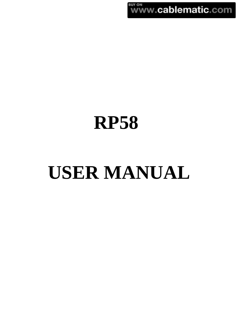**BUY ON**<br>WWW.cablematic.com

# **RP58**

# **USER MANUAL**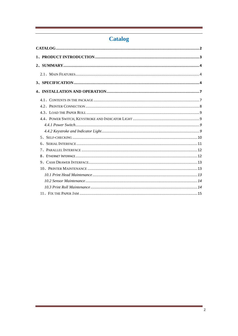# **Catalog**

<span id="page-1-0"></span>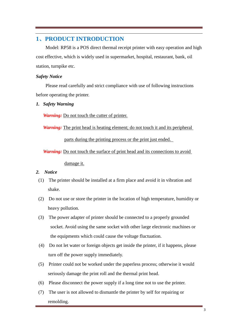# <span id="page-2-0"></span>**1**、**PRODUCT INTRODUCTION**

Model: RP58 is a POS direct thermal receipt printer with easy operation and high cost effective, which is widely used in supermarket, hospital, restaurant, bank, oil station, turnpike etc.

#### *Safety Notice*

 Please read carefully and strict compliance with use of following instructions before operating the printer.

*1. Safety Warning*

*Warning:* Do not touch the cutter of printer.

*Warning:* The print head is heating element; do not touch it and its peripheral

parts during the printing process or the print just ended.

*Warning:* Do not touch the surface of print head and its connections to avoid

damage it.

#### *2. Notice*

- (1) The printer should be installed at a firm place and avoid it in vibration and shake.
- (2) Do not use or store the printer in the location of high temperature, humidity or heavy pollution.
- (3) The power adapter of printer should be connected to a properly grounded socket. Avoid using the same socket with other large electronic machines or the equipments which could cause the voltage fluctuation.
- (4) Do not let water or foreign objects get inside the printer, if it happens, please turn off the power supply immediately.
- (5) Printer could not be worked under the paperless process; otherwise it would seriously damage the print roll and the thermal print head.
- (6) Please disconnect the power supply if a long time not to use the printer.
- (7) The user is not allowed to dismantle the printer by self for repairing or remolding.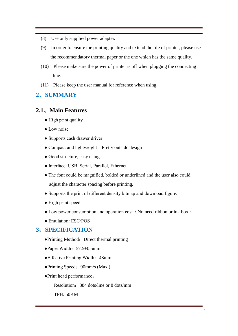- (8) Use only supplied power adapter.
- (9) In order to ensure the printing quality and extend the life of printer, please use the recommendatory thermal paper or the one which has the same quality.
- (10) Please make sure the power of printer is off when plugging the connecting line.
- (11) Please keep the user manual for reference when using.

# <span id="page-3-1"></span><span id="page-3-0"></span>**2**、**SUMMARY**

### **2.1**、**Main Features**

- High print quality
- Low noise
- Supports cash drawer driver
- $\bullet$  Compact and lightweight, Pretty outside design
- Good structure, easy using
- Interface: USB, Serial, Parallel, Ethernet
- The font could be magnified, bolded or underlined and the user also could adjust the character spacing before printing.
- Supports the print of different density bitmap and download figure.
- High print speed
- Low power consumption and operation cost (No need ribbon or ink box)
- Emulation: ESC/POS

# <span id="page-3-2"></span>**3**、**SPECIFICATION**

- Printing Method: Direct thermal printing
- Paper Width:  $57.5 \pm 0.5$ mm
- ●Effective Printing Width:48mm
- Printing Speed: 90mm/s (Max.)
- ●Print head performance:

Resolution:384 dots/line or 8 dots/mm

TPH: 50KM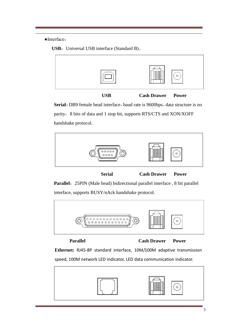#### ●Interface:





**USB Cash Drawer Power** 

**Serial:** DB9 female head interface, baud rate is 9600bps, data structure is no parity, 8 bits of data and 1 stop bit, supports RTS/CTS and XON/XOFF handshake protocol.



**Serial Cash Drawer Power** 

Parallel: 25PIN (Male head) bidirectional parallel interface, 8 bit parallel interface, supports BUSY/nAck handshake protocol.



**Parallel Cash Drawer Power** 

**Ethernet:** RJ45-8P standard interface, 10M/100M adaptive transmission speed, 100M network LED indicator, LED data communication indicator.

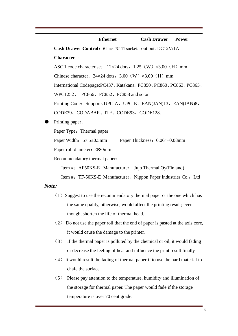# **Ethernet Cash Drawer Power**

**Cash Drawer Control:** 6 lines RJ-11 socket, out put: DC12V/1A

#### **Character** :

ASCII code character set:  $12\times24$  dots,  $1.25(W)$   $\times3.00(H)$  mm

Chinese character:  $24\times24$  dots,  $3.00(W)$   $\times3.00(H)$  mm

International Codepage:PC437、Katakana、PC850、PC860、PC863、PC865、

WPC1252、 PC866、PC852、PC858 and so on

Printing Code: Supports UPC-A、UPC-E、EAN(JAN)13、EAN(JAN)8、

CODE39、CODABAR、ITF、CODE93、CODE128.

Printing paper:

Paper Type: Thermal paper

Paper Width:  $57.5 \pm 0.5$ mm Paper Thickness:  $0.06 \sim 0.08$ mm

Paper roll diameter: Φ80mm

Recommendatory thermal paper:

Item #: AF50KS-E Manufacturer: Jujo Thermal Oy(Finland)

Item #: TF-50KS-E Manufacturer: Nippon Paper Industries Co., Ltd

#### *Note:*

- $(1)$  Suggest to use the recommendatory thermal paper or the one which has the same quality, otherwise, would affect the printing result; even though, shorten the life of thermal head.
- (2) Do not use the paper roll that the end of paper is pasted at the axis core, it would cause the damage to the printer.
- (3) If the thermal paper is polluted by the chemical or oil, it would fading or decrease the feeling of heat and influence the print result finally.
- $(4)$  It would result the fading of thermal paper if to use the hard material to chafe the surface.
- (5) Please pay attention to the temperature, humidity and illumination of the storage for thermal paper. The paper would fade if the storage temperature is over 70 centigrade.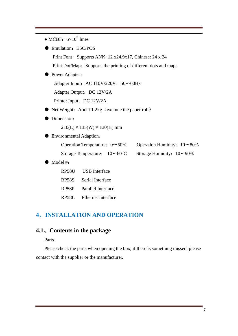• MCBF:  $5 \times 10^6$  lines

● Emulation: ESC/POS

Print Font: Supports ANK: 12 x24,9x17, Chinese: 24 x 24

Print Dot/Map: Supports the printing of different dots and maps

#### ● Power Adapter:

Adapter Input: AC 110V/220V, 50∽60Hz

Adapter Output: DC 12V/2A

Printer Input: DC 12V/2A

- $\bullet$  Net Weight: About 1.2kg (exclude the paper roll)
- Dimension:

 $210(L) \times 135(W) \times 130(H)$  mm

● Environmental Adaption:

| Operation Temperature: $0 \sim 50 \text{ C}$ |  | Operation Humidity: $10 \sim 80\%$ |  |
|----------------------------------------------|--|------------------------------------|--|
|----------------------------------------------|--|------------------------------------|--|

Storage Temperature: -10∽60°C Storage Humidity: 10∽90%

Model #:

| RP58U              | <b>USB</b> Interface     |
|--------------------|--------------------------|
| <b>RP58S</b>       | Serial Interface         |
| RP <sub>58</sub> P | Parallel Interface       |
|                    | RP58L Ethernet Interface |

# <span id="page-6-1"></span><span id="page-6-0"></span>**4**、**INSTALLATION AND OPERATION**

# **4.1**、**Contents in the package**

Parts:

Please check the parts when opening the box, if there is something missed, please contact with the supplier or the manufacturer.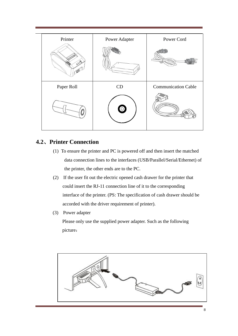

# <span id="page-7-0"></span>**4.2**、**Printer Connection**

- (1) To ensure the printer and PC is powered off and then insert the matched data connection lines to the interfaces (USB/Parallel/Serial/Ethernet) of the printer, the other ends are to the PC.
- (2) If the user fit out the electric opened cash drawer for the printer that could insert the RJ-11 connection line of it to the corresponding interface of the printer. (PS: The specification of cash drawer should be accorded with the driver requirement of printer).
- (3) Power adapter

 Please only use the supplied power adapter. Such as the following picture:

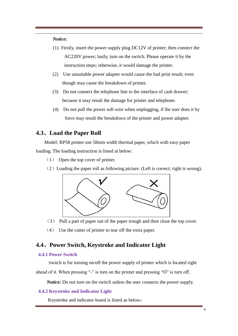#### *Notice:*

- (1) Firstly, insert the power supply plug DC12V of printer; then connect the AC220V power; lastly, turn on the switch. Please operate it by the instruction steps; otherwise, it would damage the printer.
- (2) Use unsuitable power adapter would cause the bad print result; even though may cause the breakdown of printer.
- (3) Do not connect the telephone line to the interface of cash drawer; because it may result the damage for printer and telephone.
- (4) Do not pull the power soft wire when unplugging, if the user does it by force may result the breakdown of the printer and power adapter.

# <span id="page-8-0"></span>**4.3**、**Load the Paper Roll**

Model: RP58 printer use 58mm width thermal paper, which with easy paper loading. The loading instruction is listed at below:

- (1) Open the top cover of printer.
- $(2)$  Loading the paper roll as following picture. (Left is correct; right is wrong).



- (3) Pull a part of paper out of the paper trough and then close the top cover.
- (4) Use the cutter of printer to tear off the extra paper.

# <span id="page-8-1"></span>**4.4**、**Power Switch, Keystroke and Indicator Light**

#### <span id="page-8-2"></span>**4.4.1 Power Switch**

 Switch is for turning on/off the power supply of printer which is located right ahead of it. When pressing "-" is turn on the printer and pressing "O" is turn off.

*Notice:* Do not turn on the switch unless the user connects the power supply.

#### <span id="page-8-3"></span>**4.4.2 Keystroke and Indicator Light**

Keystroke and indicator board is listed as below: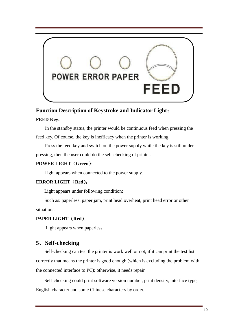

# **Function Description of Keystroke and Indicator Light**:

#### **FEED Key:**

In the standby status, the printer would be continuous feed when pressing the feed key. Of course, the key is inefficacy when the printer is working.

Press the feed key and switch on the power supply while the key is still under pressing, then the user could do the self-checking of printer.

#### **POWER LIGHT**(**Green**):

Light appears when connected to the power supply.

#### **ERROR LIGHT**(**Red**):

Light appears under following condition:

Such as: paperless, paper jam, print head overheat, print head error or other situations.

#### **PAPER LIGHT**(**Red**):

Light appears when paperless.

# <span id="page-9-0"></span>**5**、**Self-checking**

 Self-checking can test the printer is work well or not, if it can print the test list correctly that means the printer is good enough (which is excluding the problem with the connected interface to PC); otherwise, it needs repair.

Self-checking could print software version number, print density, interface type, English character and some Chinese characters by order.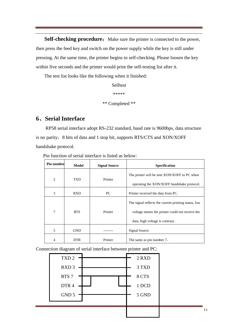**Self-checking procedure:** Make sure the printer is connected to the power, then press the feed key and switch on the power supply while the key is still under pressing. At the same time, the printer begins to self-checking. Please loosen the key within five seconds and the printer would print the self-testing list after it.

The test list looks like the following when it finished:

Selftest

\*\*\*\*\*

\*\* Completed \*\*

#### <span id="page-10-0"></span>**6**、**Serial Interface**

RP58 serial interface adopt RS-232 standard, baud rate is 9600bps, data structure is no parity,  $8 \text{ bits of data and } 1 \text{ stop bit, supports RTS/CTS and XON/XOFF}$ handshake protocol.

Pin function of serial interface is listed as below:

| <b>Pin number</b> | Model      | <b>Signal Source</b> | <b>Specification</b>                                                                                                                       |
|-------------------|------------|----------------------|--------------------------------------------------------------------------------------------------------------------------------------------|
| $\overline{2}$    | <b>TXD</b> | Printer              | The printer will be sent XON/XOFF to PC when<br>operating the XON/XOFF handshake protocol.                                                 |
| 3                 | <b>RXD</b> | PC.                  | Printer received the data from PC.                                                                                                         |
| 7                 | <b>RTS</b> | Printer              | The signal reflects the current printing status, low<br>voltage means the printer could not receive the<br>data, high voltage is contrary. |
| 5                 | <b>GND</b> |                      | <b>Signal Source</b>                                                                                                                       |
| 4                 | DTR.       | Printer              | The same as pin number 7.                                                                                                                  |

Connection diagram of serial interface between printer and PC:

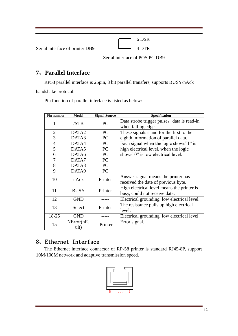|                                 | 6 DSR                          |  |
|---------------------------------|--------------------------------|--|
| Serial interface of printer DB9 | 4 DTR                          |  |
|                                 | Serial interface of POS PC DB9 |  |

# <span id="page-11-0"></span>**7**、**Parallel Interface**

RP58 parallel interface is 25pin, 8 bit parallel transfers, supports BUSY/nAck

handshake protocol.

| Pin number     | <b>Model</b>       | <b>Signal Source</b> | Specification                                                               |
|----------------|--------------------|----------------------|-----------------------------------------------------------------------------|
| $\mathbf{1}$   | /STB               | PC                   | Data strobe trigger pulse, data is read-in<br>when falling edge.            |
| $\overline{2}$ | DATA <sub>2</sub>  | PC                   | These signals stand for the first to the                                    |
| 3              | DATA3              | PC                   | eighth information of parallel data.                                        |
| $\overline{4}$ | DATA4              | PC                   | Each signal when the logic shows"?" is                                      |
| 5              | DATA5              | PC                   | high electrical level, when the logic                                       |
| 6              | DATA6              | PC                   | shows"0" is low electrical level.                                           |
| 7              | DATA7              | PC                   |                                                                             |
| 8              | DATA8              | PC                   |                                                                             |
| 9              | DATA9              | PC                   |                                                                             |
| 10             | nAck               | Printer              | Answer signal means the printer has<br>received the date of previous byte.  |
| 11             | <b>BUSY</b>        | Printer              | High electrical level means the printer is<br>busy, could not receive data. |
| 12             | <b>GND</b>         |                      | Electrical grounding, low electrical level.                                 |
| 13             | Select             | Printer              | The resistance pulls up high electrical<br>level.                           |
| 18-25          | <b>GND</b>         |                      | Electrical grounding, low electrical level.                                 |
| 15             | NError(nFa<br>ult) | Printer              | Error signal.                                                               |

Pin function of parallel interface is listed as below:

# <span id="page-11-1"></span>8、Ethernet Interface

The Ethernet interface connector of RP-58 printer is standard RJ45-8P, support 10M/100M network and adaptive transmission speed.

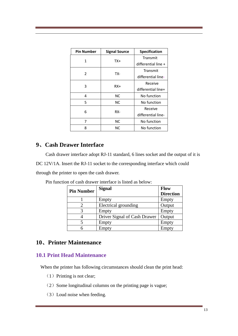| <b>Pin Number</b> | <b>Signal Source</b> | Specification       |  |
|-------------------|----------------------|---------------------|--|
| 1                 | TX+                  | Transmit            |  |
|                   |                      | differential line + |  |
| 2                 | TX-                  | Transmit            |  |
|                   |                      | differential line-  |  |
| 3                 | $RX+$                | Receive             |  |
|                   |                      | differential line+  |  |
| 4                 | NC.                  | No function         |  |
| 5                 | ΝC                   | No function         |  |
|                   |                      | Receive             |  |
|                   | 6<br>RX-             |                     |  |
| 7                 | ΝC                   | No function         |  |
| 8                 | ΝC                   | No function         |  |

# <span id="page-12-0"></span>**9**、**Cash Drawer Interface**

Cash drawer interface adopt RJ-11 standard, 6 lines socket and the output of it is DC 12V/1A. Insert the RJ-11 socket to the corresponding interface which could through the printer to open the cash drawer.

| <b>Pin Number</b>           | <b>Signal</b>                | <b>Flow</b>      |
|-----------------------------|------------------------------|------------------|
|                             |                              | <b>Direction</b> |
|                             | Empty                        | Empty            |
| $\mathcal{D}_{\mathcal{L}}$ | Electrical grounding         | Output           |
| 3                           | Empty                        | Empty            |
|                             | Driver Signal of Cash Drawer | Output           |
|                             | Empty                        | Empty            |
|                             | Empty                        | Empty            |

Pin function of cash drawer interface is listed as below:

# <span id="page-12-1"></span>**10**、**Printer Maintenance**

# <span id="page-12-2"></span>**10.1 Print Head Maintenance**

When the printer has following circumstances should clean the print head:

- $(1)$  Printing is not clear;
- $(2)$  Some longitudinal columns on the printing page is vague;
- (3)Loud noise when feeding.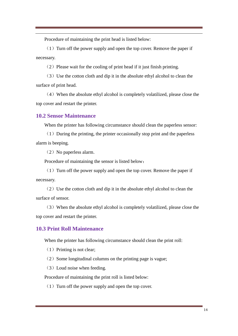Procedure of maintaining the print head is listed below:

 $(1)$  Turn off the power supply and open the top cover. Remove the paper if necessary.

 $(2)$  Please wait for the cooling of print head if it just finish printing.

(3)Use the cotton cloth and dip it in the absolute ethyl alcohol to clean the surface of print head.

(4)When the absolute ethyl alcohol is completely volatilized, please close the top cover and restart the printer.

#### <span id="page-13-0"></span>**10.2 Sensor Maintenance**

When the printer has following circumstance should clean the paperless sensor:

 $(1)$  During the printing, the printer occasionally stop print and the paperless alarm is beeping.

(2) No paperless alarm.

Procedure of maintaining the sensor is listed below:

 $(1)$  Turn off the power supply and open the top cover. Remove the paper if necessary.

 $(2)$  Use the cotton cloth and dip it in the absolute ethyl alcohol to clean the surface of sensor.

(3)When the absolute ethyl alcohol is completely volatilized, please close the top cover and restart the printer.

#### <span id="page-13-1"></span>**10.3 Print Roll Maintenance**

When the printer has following circumstance should clean the print roll:

- $(1)$  Printing is not clear;
- $(2)$  Some longitudinal columns on the printing page is vague;
- (3)Loud noise when feeding.

Procedure of maintaining the print roll is listed below:

 $(1)$  Turn off the power supply and open the top cover.